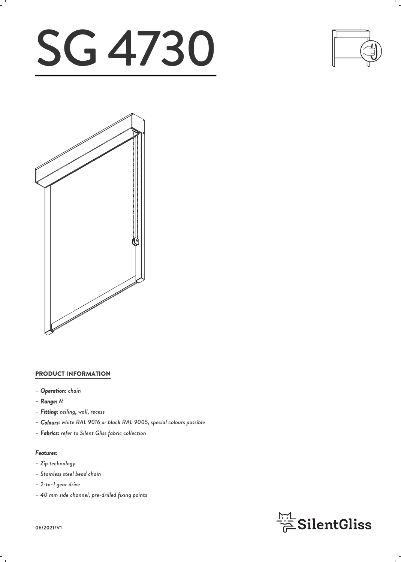# SG 4730





# PRODUCT INFORMATION

- *– Operation: chain*
- *– Range: M*
- *– Fitting: ceiling, wall, recess*
- *– Colours: white RAL 9016 or black RAL 9005, special colours possible*
- *– Fabrics: refer to Silent Gliss fabric collection*

### *Features:*

- *– Zip technology*
- *– Stainless steel bead chain*
- *– 2-to-1 gear drive*
- *– 40 mm side channel, pre-drilled fixing points*



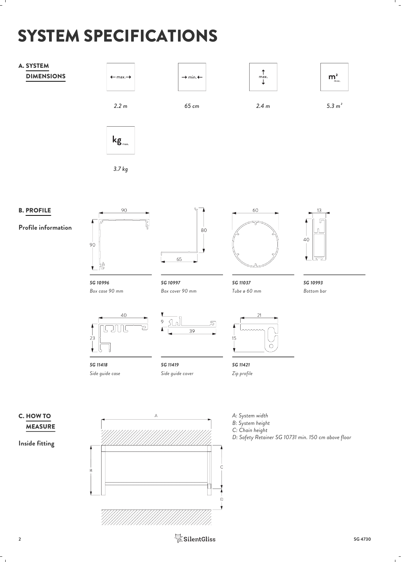# SYSTEM SPECIFICATIONS

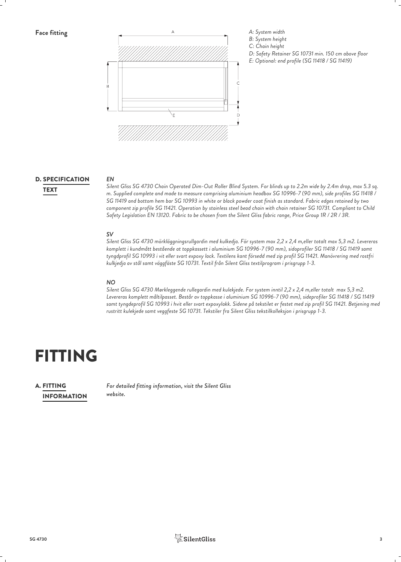

# D. SPECIFICATION EN EN

*EN Silent Gliss SG 4730 Chain Operated Dim-Out Roller Blind System. For blinds up to 2.2m wide by 2.4m drop, max 5.3 sq. m. Supplied complete and made to measure comprising aluminium headbox SG 10996-7 (90 mm), side profiles SG 11418 /* TEXT *SG 11419 and bottom hem bar SG 10993 in white or black powder coat finish as standard. Fabric edges retained by two component zip profile SG 11421. Operation by stainless steel bead chain with chain retainer SG 10731. Compliant to Child Safety Legislation EN 13120. Fabric to be chosen from the Silent Gliss fabric range, Price Group 1R / 2R / 3R.*

*SV Silent Gliss SG 4730 mörkläggningsrullgardin med kulkedja. För system max 2,2 x 2,4 m,eller totalt max 5,3 m2. Levereras komplett i kundmått bestående at toppkassett i aluminium SG 10996-7 (90 mm), sidoprofiler SG 11418 / SG 11419 samt tyngdprofil SG 10993 i vit eller svart expoxy lack. Textilens kant försedd med zip profil SG 11421. Manövrering med rostfri kulkjedja av stål samt väggfäste SG 10731. Textil från Silent Gliss textilprogram i prisgrupp 1-3.*

# *NO*

*Silent Gliss SG 4730 Mørkleggende rullegardin med kulekjede. For system inntil 2,2 x 2,4 m,eller totalt max 5,3 m2. Levereras komplett måltilpasset. Består av toppkasse i aluminium SG 10996-7 (90 mm), sideprofiler SG 11418 / SG 11419 samt tyngdeprofil SG 10993 i hvit eller svart expoxylakk. Sidene på tekstilet er festet med zip profil SG 11421. Betjening med rustritt kulekjede samt veggfeste SG 10731. Tekstiler fra Silent Gliss tekstilkolleksjon i prisgrupp 1-3.*

# FITTING

# INFORMATION **A. FITTING**

*For detailed fitting information, visit the Silent Gliss* FITTING *website.*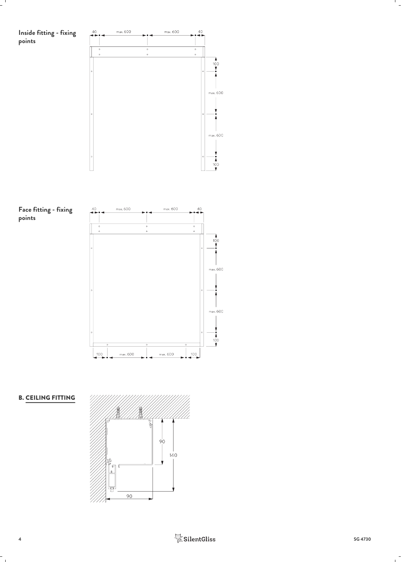

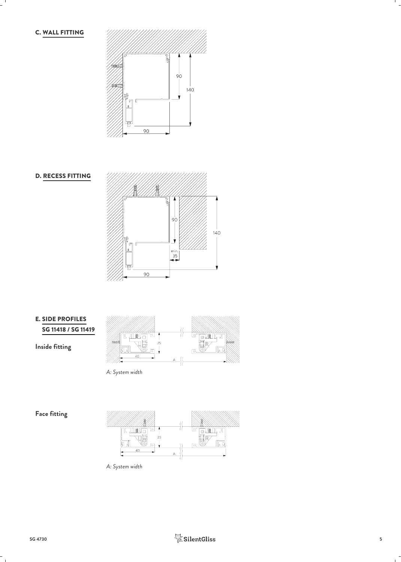C. WALL FITTING









*A: System width*

**Face fitting**



*A: System width*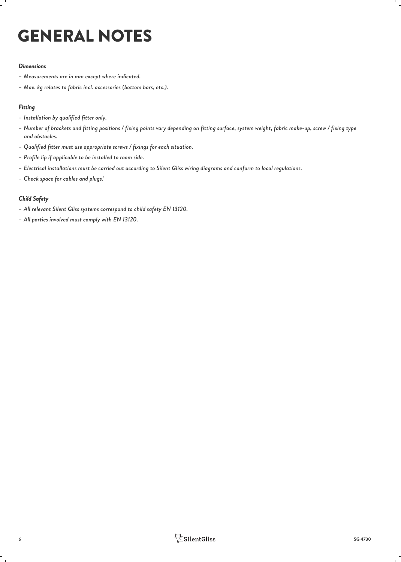# GENERAL NOTES

### *Dimensions*

- *– Measurements are in mm except where indicated.*
- *– Max. kg relates to fabric incl. accessories (bottom bars, etc.).*

### *Fitting*

- *– Installation by qualified fitter only.*
- *– Number of brackets and fitting positions / fixing points vary depending on fitting surface, system weight, fabric make-up, screw / fixing type and obstacles.*
- *– Qualified fitter must use appropriate screws / fixings for each situation.*
- *– Profile lip if applicable to be installed to room side.*
- *– Electrical installations must be carried out according to Silent Gliss wiring diagrams and conform to local regulations.*
- *– Check space for cables and plugs!*

### *Child Safety*

- *– All relevant Silent Gliss systems correspond to child safety EN 13120.*
- *– All parties involved must comply with EN 13120.*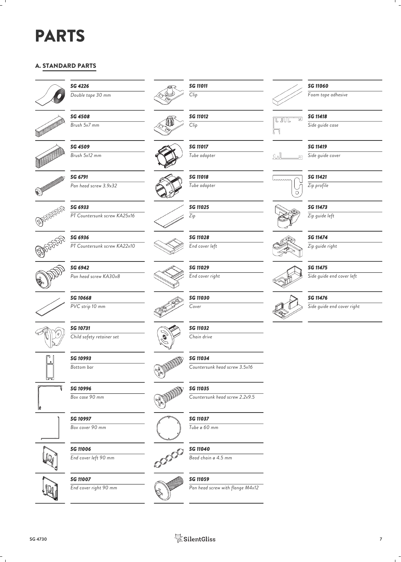# PARTS

# A. STANDARD PARTS



*SG 4226 Double tape 30 mm*



 $SG$  4508<br> $B_{Fush}$  5x7 mm *Brush 5x7 mm* <br>*Brush 5x7 mm* 



*SG 4509*

*SG 6791 Pan head screw 3.9x32*



*SG 6933 PT Countersunk screw KA25x16*



*SG 6936 PT Countersunk screw KA22x10*



*Pan head screw KA30x8*

*SG 6942*



*SG 10668 PVC strip 10 mm*

*SG 10731*

*Child safety retainer set*

*SG 10993 Bottom bar*



 $\mathbf{r}$ 





**SG 11006**<br>
End cover left 90 mm *End cover left 90 mm*

*SG 11007*

*SG 10997 Box cover 90 mm*

**End cover right 90 mm** 



*SG 11011 Clip*









*SG 11025 Zip*

*SG 11018 Tube adapter*

*SG 11028 End cover left*

*SG 11029 End cover right*



*Cover*

*SG 11032 Chain drive*

*SG 11037 Tube ø 60 mm*

*SG 11040*

*SG 11059*

*Bead chain ø 4.5 mm*

*Pan head screw with flange M4x12*

*SG 11034 Countersunk head screw 3.5x16*

*SG 10996 Box case 90 mm SG 11035 Countersunk head screw 2.2x9.5*







*Clip*



**SG 11012 Research 2010 RESULTS** *SG 11418 Side guide case*



*SG 11419*

*SG 11060*

*Foam tape adhesive*

*Side guide cover*

*SG 11421 Zip profile*



*Zip guide left*



*Zip guide right*

# *SG 11475*

*Side guide end cover left*



# *SG 11476*

*Side guide end cover right*